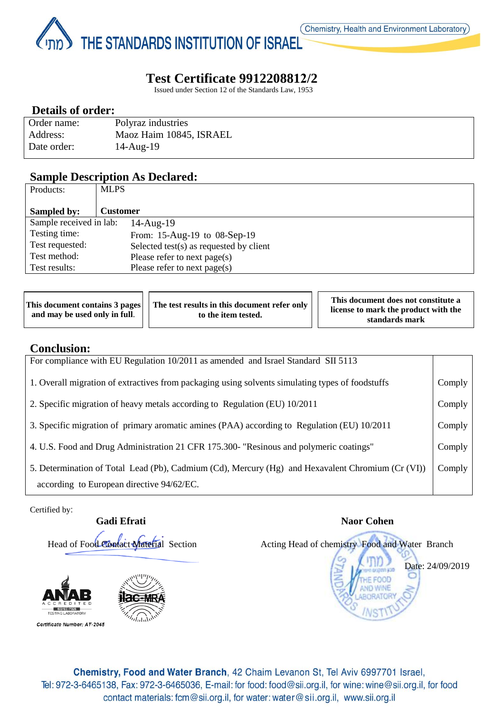Page **1** of **3** THE STANDARDS INSTITUTION OF ISRAEL

# **Test Certificate 9912208812/2**

Issued under Section 12 of the Standards Law, 1953

## **Details of order:**

| Order name: | Polyraz industries      |
|-------------|-------------------------|
| Address:    | Maoz Haim 10845, ISRAEL |
| Date order: | $14$ -Aug- $19$         |

### **Sample Description As Declared:**

| <b>MLPS</b>                                |
|--------------------------------------------|
|                                            |
| <b>Customer</b>                            |
| Sample received in lab:<br>$14$ -Aug- $19$ |
| From: 15-Aug-19 to 08-Sep-19               |
| Selected test(s) as requested by client    |
| Please refer to next page(s)               |
| Please refer to next page( $s$ )           |
|                                            |

| This document contains 3 pages<br>and may be used only in full. | The test results in this document refer only<br>to the item tested. | This document does not constitute a<br>license to mark the product with the<br>standards mark |
|-----------------------------------------------------------------|---------------------------------------------------------------------|-----------------------------------------------------------------------------------------------|
|                                                                 |                                                                     |                                                                                               |

### **Conclusion:**

| For compliance with EU Regulation 10/2011 as amended and Israel Standard SII 5113                 |        |
|---------------------------------------------------------------------------------------------------|--------|
| 1. Overall migration of extractives from packaging using solvents simulating types of foodstuffs  | Comply |
| 2. Specific migration of heavy metals according to Regulation (EU) 10/2011                        | Comply |
| 3. Specific migration of primary aromatic amines (PAA) according to Regulation (EU) 10/2011       | Comply |
| 4. U.S. Food and Drug Administration 21 CFR 175.300- "Resinous and polymeric coatings"            | Comply |
| 5. Determination of Total Lead (Pb), Cadmium (Cd), Mercury (Hg) and Hexavalent Chromium (Cr (VI)) | Comply |
| according to European directive 94/62/EC.                                                         |        |

Certified by:

# **Gadi Efrati** Naor Cohen Head of Food Contact Material Section Acting Head of chemistry Food and Water Branch

Certificate Number: AT-2045



Date: 24/09/2019

Chemistry, Food and Water Branch, 42 Chaim Levanon St, Tel Aviv 6997701 Israel, Tel: 972-3-6465138, Fax: 972-3-6465036, E-mail: for food: food@sii.org.il, for wine: wine@sii.org.il, for food contact materials: fcm@sii.org.il, for water: water@sii.org.il, www.sii.org.il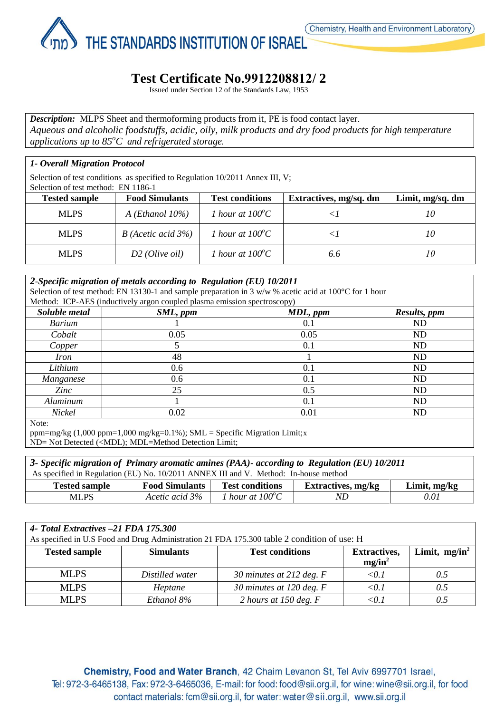THE STANDARDS INSTITUTION OF ISRAEL

# **Test Certificate No.2212208812/ 2**

Issued under Section 12 of the Standards Law, 1953

*Description:* MLPS Sheet and thermoforming products from it, PE is food contact layer. *Aqueous and alcoholic foodstuffs, acidic, oily, milk products and dry food products for high temperature applications up to 85<sup>o</sup>C and refrigerated storage.*

### *1- Overall Migration Protocol*

Page **2** of **3**

Selection of test conditions as specified to Regulation 10/2011 Annex III, V;

| Selection of test method: EN 1186-1 |                       |                           |                        |                  |
|-------------------------------------|-----------------------|---------------------------|------------------------|------------------|
| <b>Tested sample</b>                | <b>Food Simulants</b> | <b>Test conditions</b>    | Extractives, mg/sq. dm | Limit, mg/sq. dm |
| <b>MLPS</b>                         | A (Ethanol $10\%$ )   | 1 hour at $100^{\circ}$ C |                        | 10               |
| <b>MLPS</b>                         | $B$ (Acetic acid 3%)  | 1 hour at $100^{\circ}$ C |                        | 10               |
| <b>MLPS</b>                         | $D2$ (Olive oil)      | 1 hour at $100^{\circ}$ C | 6.6                    | 10               |

#### *2-Specific migration of metals according to Regulation (EU) 10/2011*

Selection of test method: EN 13130-1 and sample preparation in 3 w/w % acetic acid at 100 °C for 1 hour Method: ICP-AES (inductively argon coupled plasma emission spectroscopy)

| $m$ canoa. Ter $n$ Theo (maaca very argon coupled plasma emission spectroscopy) |          |          |                |  |
|---------------------------------------------------------------------------------|----------|----------|----------------|--|
| Soluble metal                                                                   | SML, ppm | MDL, ppm | Results, ppm   |  |
| <b>Barium</b>                                                                   |          | 0.1      | N <sub>D</sub> |  |
| Cobalt                                                                          | 0.05     | 0.05     | ND             |  |
| Copper                                                                          |          | 0.1      | ND             |  |
| <i>Iron</i>                                                                     | 48       |          | ND             |  |
| Lithium                                                                         | 0.6      | 0.1      | ND             |  |
| Manganese                                                                       | 0.6      | 0.1      | ND             |  |
| Zinc                                                                            | 25       | 0.5      | ND             |  |
| Aluminum                                                                        |          | 0.1      | ND             |  |
| Nickel                                                                          | 0.02     | 0.01     | ND             |  |
| Note:                                                                           |          |          |                |  |

ppm=mg/kg  $(1,000 \text{ ppm}=1,000 \text{ mg/kg}=0.1\%)$ ; SML = Specific Migration Limit;x ND= Not Detected (<MDL); MDL=Method Detection Limit;

| 3- Specific migration of Primary aromatic amines (PAA)- according to Regulation (EU) 10/2011                           |                |                           |    |      |
|------------------------------------------------------------------------------------------------------------------------|----------------|---------------------------|----|------|
| As specified in Regulation (EU) No. 10/2011 ANNEX III and V. Method: In-house method                                   |                |                           |    |      |
| <b>Food Simulants</b><br><b>Test conditions</b><br><b>Extractives, mg/kg</b><br>Limit, $mg/kg$<br><b>Tested sample</b> |                |                           |    |      |
| <b>MLPS</b>                                                                                                            | Acetic acid 3% | 1 hour at $100^{\circ}$ C | ND | 0.01 |

| 4- Total Extractives -21 FDA 175.300                                                        |                  |                            |                     |                  |
|---------------------------------------------------------------------------------------------|------------------|----------------------------|---------------------|------------------|
| As specified in U.S Food and Drug Administration 21 FDA 175.300 table 2 condition of use: H |                  |                            |                     |                  |
| <b>Tested sample</b>                                                                        | <b>Simulants</b> | <b>Test conditions</b>     | <b>Extractives,</b> | Limit, $mg/in^2$ |
|                                                                                             |                  |                            | $mg/in^2$           |                  |
| <b>MLPS</b>                                                                                 | Distilled water  | 30 minutes at 212 deg. $F$ | < 0.1               | 0.5              |
| <b>MLPS</b>                                                                                 | Heptane          | 30 minutes at 120 deg. $F$ | $0.1$               | 0.5              |
| <b>MLPS</b>                                                                                 | Ethanol 8%       | 2 hours at 150 deg. $F$    | $<$ 0.1 $\,$        |                  |

Chemistry, Food and Water Branch, 42 Chaim Levanon St, Tel Aviv 6997701 Israel, Tel: 972-3-6465138, Fax: 972-3-6465036, E-mail: for food: food@sii.org.il, for wine: wine@sii.org.il, for food contact materials: fcm@sii.org.il, for water: water@sii.org.il, www.sii.org.il